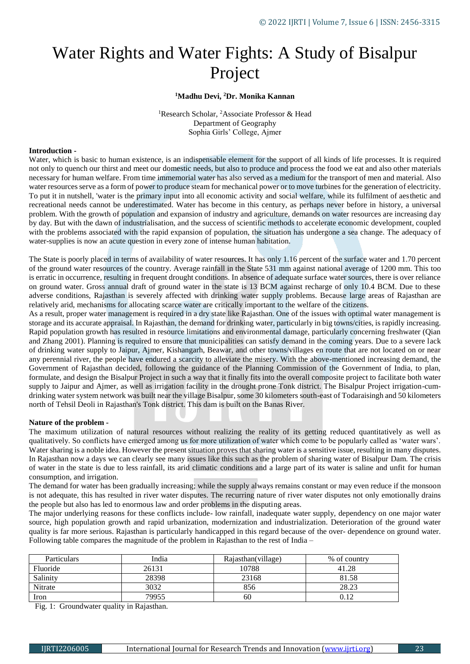# Water Rights and Water Fights: A Study of Bisalpur Project

## **<sup>1</sup>Madhu Devi, <sup>2</sup>Dr. Monika Kannan**

<sup>1</sup>Research Scholar, <sup>2</sup>Associate Professor & Head Department of Geography Sophia Girls' College, Ajmer

## **Introduction -**

Water, which is basic to human existence, is an indispensable element for the support of all kinds of life processes. It is required not only to quench our thirst and meet our domestic needs, but also to produce and process the food we eat and also other materials necessary for human welfare. From time immemorial water has also served as a medium for the transport of men and material. Also water resources serve as a form of power to produce steam for mechanical power or to move turbines for the generation of electricity. To put it in nutshell, 'water is the primary input into all economic activity and social welfare, while its fulfilment of aesthetic and recreational needs cannot be underestimated. Water has become in this century, as perhaps never before in history, a universal problem. With the growth of population and expansion of industry and agriculture, demands on water resources are increasing day by day. But with the dawn of industrialisation, and the success of scientific methods to accelerate economic development, coupled with the problems associated with the rapid expansion of population, the situation has undergone a sea change. The adequacy of water-supplies is now an acute question in every zone of intense human habitation.

The State is poorly placed in terms of availability of water resources. It has only 1.16 percent of the surface water and 1.70 percent of the ground water resources of the country. Average rainfall in the State 531 mm against national average of 1200 mm. This too is erratic in occurrence, resulting in frequent drought conditions. In absence of adequate surface water sources, there is over reliance on ground water. Gross annual draft of ground water in the state is 13 BCM against recharge of only 10.4 BCM. Due to these adverse conditions, Rajasthan is severely affected with drinking water supply problems. Because large areas of Rajasthan are relatively arid, mechanisms for allocating scarce water are critically important to the welfare of the citizens.

As a result, proper water management is required in a dry state like Rajasthan. One of the issues with optimal water management is storage and its accurate appraisal. In Rajasthan, the demand for drinking water, particularly in big towns/cities, is rapidly increasing. Rapid population growth has resulted in resource limitations and environmental damage, particularly concerning freshwater (Qian and Zhang 2001). Planning is required to ensure that municipalities can satisfy demand in the coming years. Due to a severe lack of drinking water supply to Jaipur, Ajmer, Kishangarh, Beawar, and other towns/villages en route that are not located on or near any perennial river, the people have endured a scarcity to alleviate the misery. With the above-mentioned increasing demand, the Government of Rajasthan decided, following the guidance of the Planning Commission of the Government of India, to plan, formulate, and design the Bisalpur Project in such a way that it finally fits into the overall composite project to facilitate both water supply to Jaipur and Ajmer, as well as irrigation facility in the drought prone Tonk district. The Bisalpur Project irrigation-cumdrinking water system network was built near the village Bisalpur, some 30 kilometers south-east of Todaraisingh and 50 kilometers north of Tehsil Deoli in Rajasthan's Tonk district. This dam is built on the Banas River.

### **Nature of the problem -**

The maximum utilization of natural resources without realizing the reality of its getting reduced quantitatively as well as qualitatively. So conflicts have emerged among us for more utilization of water which come to be popularly called as 'water wars'. Water sharing is a noble idea. However the present situation proves that sharing water is a sensitive issue, resulting in many disputes. In Rajasthan now a days we can clearly see many issues like this such as the problem of sharing water of Bisalpur Dam. The crisis of water in the state is due to less rainfall, its arid climatic conditions and a large part of its water is saline and unfit for human consumption, and irrigation.

The demand for water has been gradually increasing; while the supply always remains constant or may even reduce if the monsoon is not adequate, this has resulted in river water disputes. The recurring nature of river water disputes not only emotionally drains the people but also has led to enormous law and order problems in the disputing areas.

The major underlying reasons for these conflicts include- low rainfall, inadequate water supply, dependency on one major water source, high population growth and rapid urbanization, modernization and industrialization. Deterioration of the ground water quality is far more serious. Rajasthan is particularly handicapped in this regard because of the over- dependence on ground water. Following table compares the magnitude of the problem in Rajasthan to the rest of India –

| Particulars | India | Rajasthan(village) | % of country |
|-------------|-------|--------------------|--------------|
| Fluoride    | 26131 | 10788              | 41.28        |
| Salinity    | 28398 | 23168              | 81.58        |
| Nitrate     | 3032  | 856                | 28.23        |
| Iron        | 79955 | 60                 | 0.12         |

Fig. 1: Groundwater quality in Rajasthan.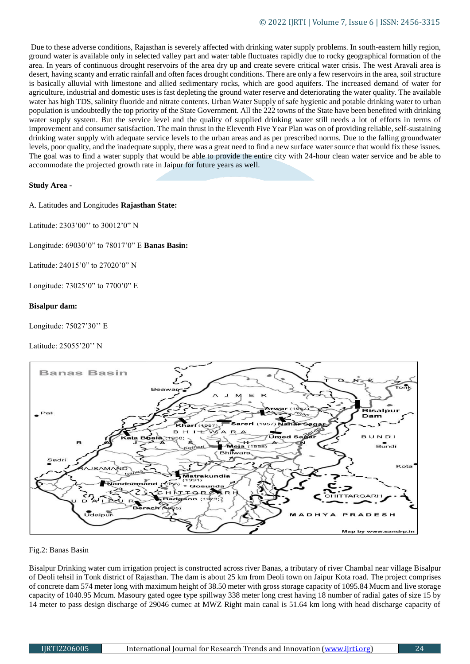Due to these adverse conditions, Rajasthan is severely affected with drinking water supply problems. In south-eastern hilly region, ground water is available only in selected valley part and water table fluctuates rapidly due to rocky geographical formation of the area. In years of continuous drought reservoirs of the area dry up and create severe critical water crisis. The west Aravali area is desert, having scanty and erratic rainfall and often faces drought conditions. There are only a few reservoirs in the area, soil structure is basically alluvial with limestone and allied sedimentary rocks, which are good aquifers. The increased demand of water for agriculture, industrial and domestic uses is fast depleting the ground water reserve and deteriorating the water quality. The available water has high TDS, salinity fluoride and nitrate contents. Urban Water Supply of safe hygienic and potable drinking water to urban population is undoubtedly the top priority of the State Government. All the 222 towns of the State have been benefited with drinking water supply system. But the service level and the quality of supplied drinking water still needs a lot of efforts in terms of improvement and consumer satisfaction. The main thrust in the Eleventh Five Year Plan was on of providing reliable, self-sustaining drinking water supply with adequate service levels to the urban areas and as per prescribed norms. Due to the falling groundwater levels, poor quality, and the inadequate supply, there was a great need to find a new surface water source that would fix these issues. The goal was to find a water supply that would be able to provide the entire city with 24-hour clean water service and be able to accommodate the projected growth rate in Jaipur for future years as well.

## **Study Area -**

A. Latitudes and Longitudes **Rajasthan State:** 

Latitude: 2303'00'' to 30012'0" N

Longitude: 69030'0" to 78017'0" E **Banas Basin:** 

Latitude: 24015'0" to 27020'0" N

Longitude: 73025'0" to 7700'0" E

### **Bisalpur dam:**

Longitude: 75027'30'' E

## Latitude: 25055'20'' N



### Fig.2: Banas Basin

Bisalpur Drinking water cum irrigation project is constructed across river Banas, a tributary of river Chambal near village Bisalpur of Deoli tehsil in Tonk district of Rajasthan. The dam is about 25 km from Deoli town on Jaipur Kota road. The project comprises of concrete dam 574 meter long with maximum height of 38.50 meter with gross storage capacity of 1095.84 Mucm and live storage capacity of 1040.95 Mcum. Masoury gated ogee type spillway 338 meter long crest having 18 number of radial gates of size 15 by 14 meter to pass design discharge of 29046 cumec at MWZ Right main canal is 51.64 km long with head discharge capacity of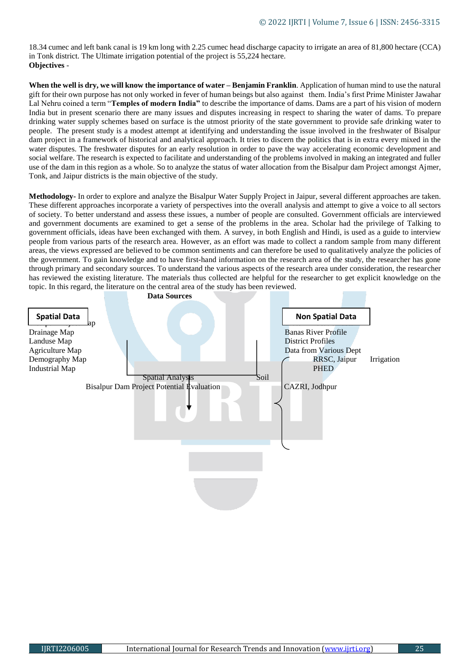18.34 cumec and left bank canal is 19 km long with 2.25 cumec head discharge capacity to irrigate an area of 81,800 hectare (CCA) in Tonk district. The Ultimate irrigation potential of the project is 55,224 hectare. **Objectives** -

**When the well is dry, we will know the importance of water – Benjamin Franklin**. Application of human mind to use the natural gift for their own purpose has not only worked in fever of human beings but also against them. India's first Prime Minister Jawahar Lal Nehru coined a term "**Temples of modern India"** to describe the importance of dams. Dams are a part of his vision of modern India but in present scenario there are many issues and disputes increasing in respect to sharing the water of dams. To prepare drinking water supply schemes based on surface is the utmost priority of the state government to provide safe drinking water to people. The present study is a modest attempt at identifying and understanding the issue involved in the freshwater of Bisalpur dam project in a framework of historical and analytical approach. It tries to discern the politics that is in extra every mixed in the water disputes. The freshwater disputes for an early resolution in order to pave the way accelerating economic development and social welfare. The research is expected to facilitate and understanding of the problems involved in making an integrated and fuller use of the dam in this region as a whole. So to analyze the status of water allocation from the Bisalpur dam Project amongst Ajmer, Tonk, and Jaipur districts is the main objective of the study.

**Methodology-** In order to explore and analyze the Bisalpur Water Supply Project in Jaipur, several different approaches are taken. These different approaches incorporate a variety of perspectives into the overall analysis and attempt to give a voice to all sectors of society. To better understand and assess these issues, a number of people are consulted. Government officials are interviewed and government documents are examined to get a sense of the problems in the area. Scholar had the privilege of Talking to government officials, ideas have been exchanged with them. A survey, in both English and Hindi, is used as a guide to interview people from various parts of the research area. However, as an effort was made to collect a random sample from many different areas, the views expressed are believed to be common sentiments and can therefore be used to qualitatively analyze the policies of the government. To gain knowledge and to have first-hand information on the research area of the study, the researcher has gone through primary and secondary sources. To understand the various aspects of the research area under consideration, the researcher has reviewed the existing literature. The materials thus collected are helpful for the researcher to get explicit knowledge on the topic. In this regard, the literature on the central area of the study has been reviewed.

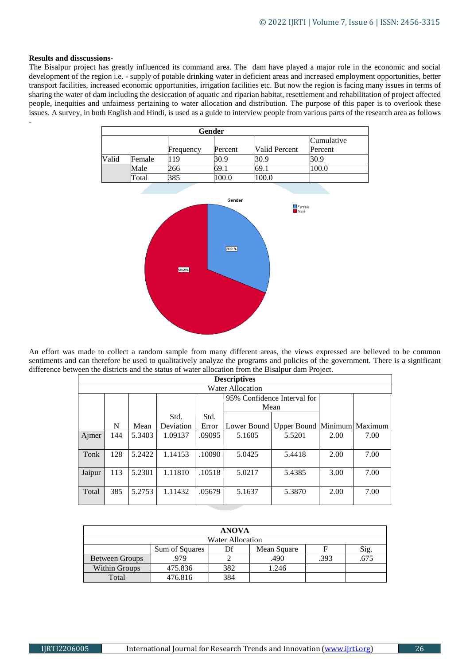### **Results and disscussions**-

The Bisalpur project has greatly influenced its command area. The dam have played a major role in the economic and social development of the region i.e. - supply of potable drinking water in deficient areas and increased employment opportunities, better transport facilities, increased economic opportunities, irrigation facilities etc. But now the region is facing many issues in terms of sharing the water of dam including the desiccation of aquatic and riparian habitat, resettlement and rehabilitation of project affected people, inequities and unfairness pertaining to water allocation and distribution. The purpose of this paper is to overlook these issues. A survey, in both English and Hindi, is used as a guide to interview people from various parts of the research area as follows -

|       | Gender |           |         |               |            |  |  |
|-------|--------|-----------|---------|---------------|------------|--|--|
|       |        |           |         |               | Cumulative |  |  |
|       |        | Frequency | Percent | Valid Percent | Percent    |  |  |
| Valid | Female | -19       | 30.9    | 30.9          | 30.9       |  |  |
|       | Male   | 266       | 69.1    | 69.1          | 100.0      |  |  |
|       | Total  | 385       | 100.0   | 100.0         |            |  |  |



An effort was made to collect a random sample from many different areas, the views expressed are believed to be common sentiments and can therefore be used to qualitatively analyze the programs and policies of the government. There is a significant difference between the districts and the status of water allocation from the Bisalpur dam Project.

| <b>Descriptives</b>     |     |        |           |        |                             |                             |      |      |
|-------------------------|-----|--------|-----------|--------|-----------------------------|-----------------------------|------|------|
| <b>Water Allocation</b> |     |        |           |        |                             |                             |      |      |
|                         |     |        |           |        | 95% Confidence Interval for |                             |      |      |
|                         |     |        |           |        | Mean                        |                             |      |      |
|                         |     |        | Std.      | Std.   |                             |                             |      |      |
|                         | N   | Mean   | Deviation | Error  | Lower Bound                 | Upper Bound Minimum Maximum |      |      |
| Ajmer                   | 144 | 5.3403 | 1.09137   | .09095 | 5.1605                      | 5.5201                      | 2.00 | 7.00 |
|                         |     |        |           |        |                             |                             |      |      |
| Tonk                    | 128 | 5.2422 | 1.14153   | .10090 | 5.0425                      | 5.4418                      | 2.00 | 7.00 |
|                         |     |        |           |        |                             |                             |      |      |
| Jaipur                  | 113 | 5.2301 | 1.11810   | .10518 | 5.0217                      | 5.4385                      | 3.00 | 7.00 |
|                         |     |        |           |        |                             |                             |      |      |
| Total                   | 385 | 5.2753 | 1.11432   | .05679 | 5.1637                      | 5.3870                      | 2.00 | 7.00 |
|                         |     |        |           |        |                             |                             |      |      |

| <b>ANOVA</b>          |                |     |             |      |      |  |
|-----------------------|----------------|-----|-------------|------|------|--|
| Water Allocation      |                |     |             |      |      |  |
|                       | Sum of Squares | Df  | Mean Square |      | Sig. |  |
| <b>Between Groups</b> | 979            |     | .490        | .393 | .675 |  |
| Within Groups         | 475.836        | 382 | 1.246       |      |      |  |
| Total                 | 476.816        | 384 |             |      |      |  |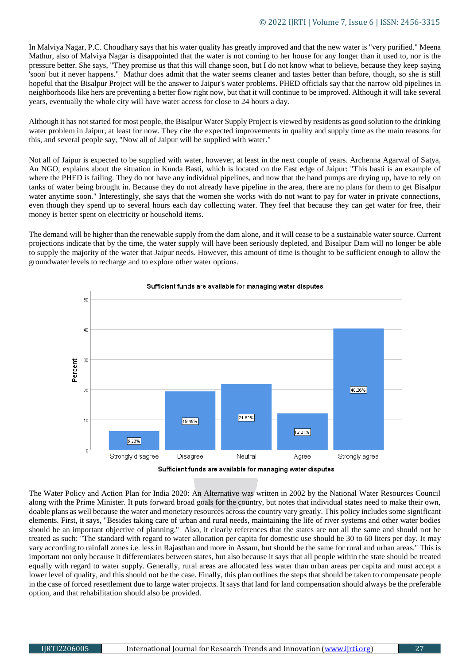In Malviya Nagar, P.C. Choudhary says that his water quality has greatly improved and that the new water is "very purified." Meena Mathur, also of Malviya Nagar is disappointed that the water is not coming to her house for any longer than it used to, nor is the pressure better. She says, "They promise us that this will change soon, but I do not know what to believe, because they keep saying 'soon' but it never happens." Mathur does admit that the water seems cleaner and tastes better than before, though, so she is still hopeful that the Bisalpur Project will be the answer to Jaipur's water problems. PHED officials say that the narrow old pipelines in neighborhoods like hers are preventing a better flow right now, but that it will continue to be improved. Although it will take several years, eventually the whole city will have water access for close to 24 hours a day.

Although it has not started for most people, the Bisalpur Water Supply Project is viewed by residents as good solution to the drinking water problem in Jaipur, at least for now. They cite the expected improvements in quality and supply time as the main reasons for this, and several people say, "Now all of Jaipur will be supplied with water."

Not all of Jaipur is expected to be supplied with water, however, at least in the next couple of years. Archenna Agarwal of Satya, An NGO, explains about the situation in Kunda Basti, which is located on the East edge of Jaipur: "This basti is an example of where the PHED is failing. They do not have any individual pipelines, and now that the hand pumps are drying up, have to rely on tanks of water being brought in. Because they do not already have pipeline in the area, there are no plans for them to get Bisalpur water anytime soon." Interestingly, she says that the women she works with do not want to pay for water in private connections, even though they spend up to several hours each day collecting water. They feel that because they can get water for free, their money is better spent on electricity or household items.

The demand will be higher than the renewable supply from the dam alone, and it will cease to be a sustainable water source. Current projections indicate that by the time, the water supply will have been seriously depleted, and Bisalpur Dam will no longer be able to supply the majority of the water that Jaipur needs. However, this amount of time is thought to be sufficient enough to allow the groundwater levels to recharge and to explore other water options.



### Sufficient funds are available for managing water disputes

The Water Policy and Action Plan for India 2020: An Alternative was written in 2002 by the National Water Resources Council along with the Prime Minister. It puts forward broad goals for the country, but notes that individual states need to make their own, doable plans as well because the water and monetary resources across the country vary greatly. This policy includes some significant elements. First, it says, "Besides taking care of urban and rural needs, maintaining the life of river systems and other water bodies should be an important objective of planning." Also, it clearly references that the states are not all the same and should not be treated as such: "The standard with regard to water allocation per capita for domestic use should be 30 to 60 liters per day. It may vary according to rainfall zones i.e. less in Rajasthan and more in Assam, but should be the same for rural and urban areas." This is important not only because it differentiates between states, but also because it says that all people within the state should be treated equally with regard to water supply. Generally, rural areas are allocated less water than urban areas per capita and must accept a lower level of quality, and this should not be the case. Finally, this plan outlines the steps that should be taken to compensate people in the case of forced resettlement due to large water projects. It says that land for land compensation should always be the preferable option, and that rehabilitation should also be provided.